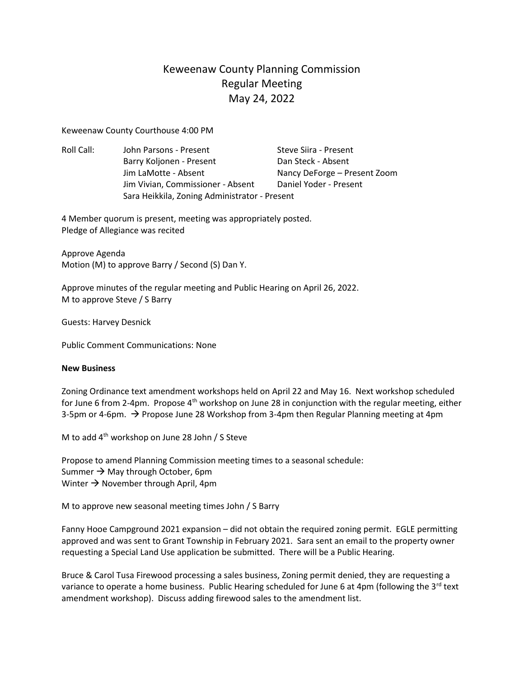## Keweenaw County Planning Commission Regular Meeting May 24, 2022

Keweenaw County Courthouse 4:00 PM

Roll Call: John Parsons - Present Steve Siira - Present Barry Koljonen - Present Dan Steck - Absent Jim LaMotte - Absent Nancy DeForge – Present Zoom Jim Vivian, Commissioner - Absent Daniel Yoder - Present Sara Heikkila, Zoning Administrator - Present

4 Member quorum is present, meeting was appropriately posted. Pledge of Allegiance was recited

Approve Agenda Motion (M) to approve Barry / Second (S) Dan Y.

Approve minutes of the regular meeting and Public Hearing on April 26, 2022. M to approve Steve / S Barry

Guests: Harvey Desnick

Public Comment Communications: None

## **New Business**

Zoning Ordinance text amendment workshops held on April 22 and May 16. Next workshop scheduled for June 6 from 2-4pm. Propose  $4<sup>th</sup>$  workshop on June 28 in conjunction with the regular meeting, either 3-5pm or 4-6pm.  $\rightarrow$  Propose June 28 Workshop from 3-4pm then Regular Planning meeting at 4pm

M to add 4<sup>th</sup> workshop on June 28 John / S Steve

Propose to amend Planning Commission meeting times to a seasonal schedule: Summer  $\rightarrow$  May through October, 6pm Winter  $\rightarrow$  November through April, 4pm

M to approve new seasonal meeting times John / S Barry

Fanny Hooe Campground 2021 expansion – did not obtain the required zoning permit. EGLE permitting approved and was sent to Grant Township in February 2021. Sara sent an email to the property owner requesting a Special Land Use application be submitted. There will be a Public Hearing.

Bruce & Carol Tusa Firewood processing a sales business, Zoning permit denied, they are requesting a variance to operate a home business. Public Hearing scheduled for June 6 at 4pm (following the  $3^{rd}$  text amendment workshop). Discuss adding firewood sales to the amendment list.